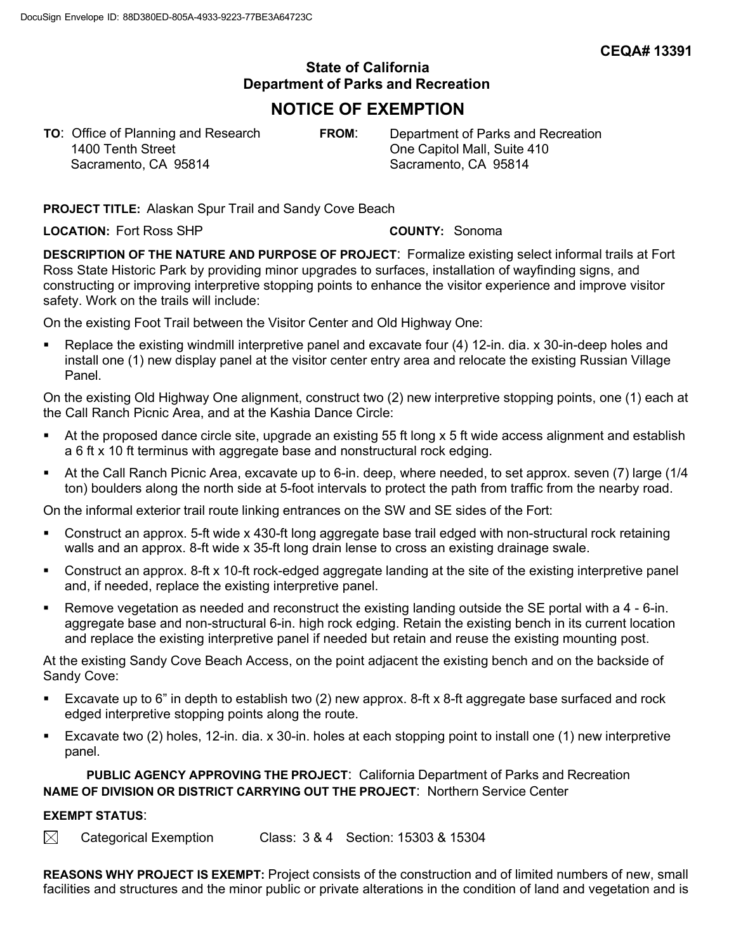## **State of California Department of Parks and Recreation**

## **NOTICE OF EXEMPTION**

**TO**: Office of Planning and Research **FROM**: Department of Parks and Recreation 1400 Tenth Street **Cone Capitol Mall**, Suite 410 Sacramento, CA 95814 Sacramento, CA 95814

**PROJECT TITLE:** Alaskan Spur Trail and Sandy Cove Beach

**LOCATION:** Fort Ross SHP **COUNTY:** Sonoma

**DESCRIPTION OF THE NATURE AND PURPOSE OF PROJECT**: Formalize existing select informal trails at Fort Ross State Historic Park by providing minor upgrades to surfaces, installation of wayfinding signs, and constructing or improving interpretive stopping points to enhance the visitor experience and improve visitor safety. Work on the trails will include:

On the existing Foot Trail between the Visitor Center and Old Highway One:

• Replace the existing windmill interpretive panel and excavate four (4) 12-in. dia. x 30-in-deep holes and install one (1) new display panel at the visitor center entry area and relocate the existing Russian Village Panel.

On the existing Old Highway One alignment, construct two (2) new interpretive stopping points, one (1) each at the Call Ranch Picnic Area, and at the Kashia Dance Circle:

- At the proposed dance circle site, upgrade an existing 55 ft long x 5 ft wide access alignment and establish a 6 ft x 10 ft terminus with aggregate base and nonstructural rock edging.
- At the Call Ranch Picnic Area, excavate up to 6-in. deep, where needed, to set approx. seven (7) large (1/4 ton) boulders along the north side at 5-foot intervals to protect the path from traffic from the nearby road.

On the informal exterior trail route linking entrances on the SW and SE sides of the Fort:

- Construct an approx. 5-ft wide x 430-ft long aggregate base trail edged with non-structural rock retaining walls and an approx. 8-ft wide x 35-ft long drain lense to cross an existing drainage swale.
- Construct an approx. 8-ft x 10-ft rock-edged aggregate landing at the site of the existing interpretive panel and, if needed, replace the existing interpretive panel.
- Remove vegetation as needed and reconstruct the existing landing outside the SE portal with a 4 6-in. aggregate base and non-structural 6-in. high rock edging. Retain the existing bench in its current location and replace the existing interpretive panel if needed but retain and reuse the existing mounting post.

At the existing Sandy Cove Beach Access, on the point adjacent the existing bench and on the backside of Sandy Cove:

- Excavate up to 6" in depth to establish two (2) new approx. 8-ft x 8-ft aggregate base surfaced and rock edged interpretive stopping points along the route.
- Excavate two (2) holes, 12-in. dia. x 30-in. holes at each stopping point to install one (1) new interpretive panel.

**PUBLIC AGENCY APPROVING THE PROJECT**: California Department of Parks and Recreation **NAME OF DIVISION OR DISTRICT CARRYING OUT THE PROJECT**: Northern Service Center

## **EXEMPT STATUS**:

 $\boxtimes$  Categorical Exemption Class: 3 & 4 Section: 15303 & 15304

**REASONS WHY PROJECT IS EXEMPT:** Project consists of the construction and of limited numbers of new, small facilities and structures and the minor public or private alterations in the condition of land and vegetation and is